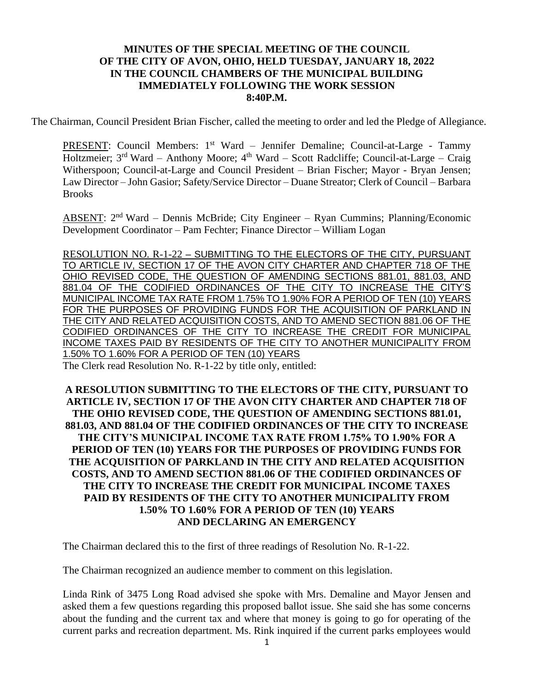## **MINUTES OF THE SPECIAL MEETING OF THE COUNCIL OF THE CITY OF AVON, OHIO, HELD TUESDAY, JANUARY 18, 2022 IN THE COUNCIL CHAMBERS OF THE MUNICIPAL BUILDING IMMEDIATELY FOLLOWING THE WORK SESSION 8:40P.M.**

The Chairman, Council President Brian Fischer, called the meeting to order and led the Pledge of Allegiance.

PRESENT: Council Members: 1<sup>st</sup> Ward - Jennifer Demaline; Council-at-Large - Tammy Holtzmeier; 3<sup>rd</sup> Ward – Anthony Moore; 4<sup>th</sup> Ward – Scott Radcliffe; Council-at-Large – Craig Witherspoon; Council-at-Large and Council President – Brian Fischer; Mayor - Bryan Jensen; Law Director – John Gasior; Safety/Service Director – Duane Streator; Clerk of Council – Barbara Brooks

ABSENT: 2<sup>nd</sup> Ward – Dennis McBride; City Engineer – Ryan Cummins; Planning/Economic Development Coordinator – Pam Fechter; Finance Director – William Logan

RESOLUTION NO. R-1-22 – SUBMITTING TO THE ELECTORS OF THE CITY, PURSUANT TO ARTICLE IV, SECTION 17 OF THE AVON CITY CHARTER AND CHAPTER 718 OF THE OHIO REVISED CODE, THE QUESTION OF AMENDING SECTIONS 881.01, 881.03, AND 881.04 OF THE CODIFIED ORDINANCES OF THE CITY TO INCREASE THE CITY'S MUNICIPAL INCOME TAX RATE FROM 1.75% TO 1.90% FOR A PERIOD OF TEN (10) YEARS FOR THE PURPOSES OF PROVIDING FUNDS FOR THE ACQUISITION OF PARKLAND IN THE CITY AND RELATED ACQUISITION COSTS, AND TO AMEND SECTION 881.06 OF THE CODIFIED ORDINANCES OF THE CITY TO INCREASE THE CREDIT FOR MUNICIPAL INCOME TAXES PAID BY RESIDENTS OF THE CITY TO ANOTHER MUNICIPALITY FROM 1.50% TO 1.60% FOR A PERIOD OF TEN (10) YEARS The Clerk read Resolution No. R-1-22 by title only, entitled:

**A RESOLUTION SUBMITTING TO THE ELECTORS OF THE CITY, PURSUANT TO ARTICLE IV, SECTION 17 OF THE AVON CITY CHARTER AND CHAPTER 718 OF THE OHIO REVISED CODE, THE QUESTION OF AMENDING SECTIONS 881.01, 881.03, AND 881.04 OF THE CODIFIED ORDINANCES OF THE CITY TO INCREASE THE CITY'S MUNICIPAL INCOME TAX RATE FROM 1.75% TO 1.90% FOR A PERIOD OF TEN (10) YEARS FOR THE PURPOSES OF PROVIDING FUNDS FOR THE ACQUISITION OF PARKLAND IN THE CITY AND RELATED ACQUISITION COSTS, AND TO AMEND SECTION 881.06 OF THE CODIFIED ORDINANCES OF THE CITY TO INCREASE THE CREDIT FOR MUNICIPAL INCOME TAXES PAID BY RESIDENTS OF THE CITY TO ANOTHER MUNICIPALITY FROM 1.50% TO 1.60% FOR A PERIOD OF TEN (10) YEARS AND DECLARING AN EMERGENCY**

The Chairman declared this to the first of three readings of Resolution No. R-1-22.

The Chairman recognized an audience member to comment on this legislation.

Linda Rink of 3475 Long Road advised she spoke with Mrs. Demaline and Mayor Jensen and asked them a few questions regarding this proposed ballot issue. She said she has some concerns about the funding and the current tax and where that money is going to go for operating of the current parks and recreation department. Ms. Rink inquired if the current parks employees would